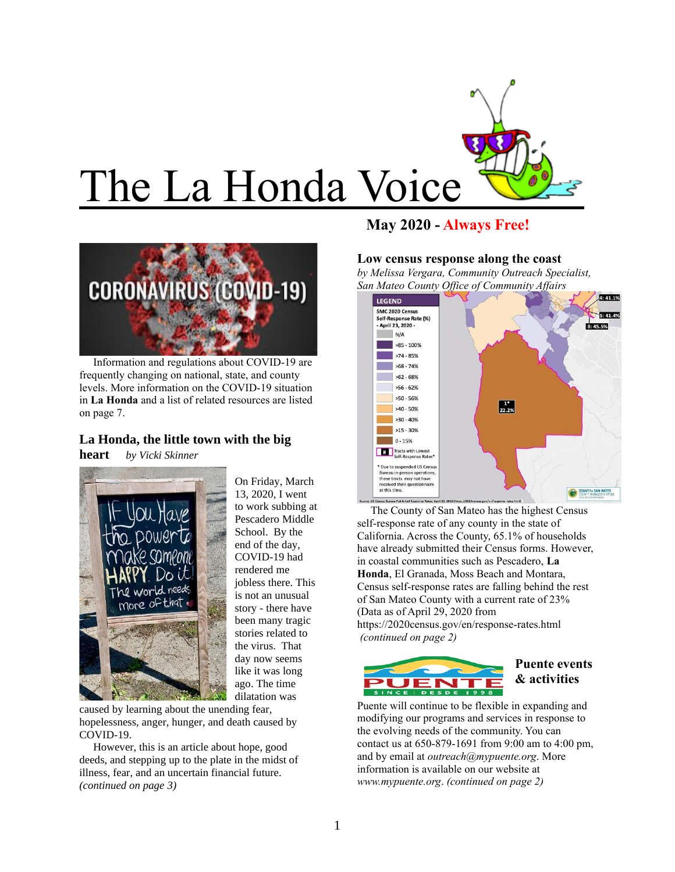



 Information and regulations about COVID-19 are frequently changing on national, state, and county levels. More information on the COVID-19 situation in **La Honda** and a list of related resources are listed on page 7.

# **La Honda, the little town with the big**

**heart** *by Vicki Skinner*



On Friday, March 13, 2020, I went to work subbing at Pescadero Middle School. By the end of the day, COVID-19 had rendered me jobless there. This is not an unusual story - there have been many tragic stories related to the virus. That day now seems like it was long ago. The time dilatation was

caused by learning about the unending fear, hopelessness, anger, hunger, and death caused by COVID-19.

 However, this is an article about hope, good deeds, and stepping up to the plate in the midst of illness, fear, and an uncertain financial future. *(continued on page 3)*

# **May 2020 - Always Free!**

#### **Low census response along the coast**

*by Melissa Vergara, Community Outreach Specialist, San Mateo County Office of Community Affairs* 



 The County of San Mateo has the highest Census self-response rate of any county in the state of California. Across the County, 65.1% of households have already submitted their Census forms. However, in coastal communities such as Pescadero, **La Honda**, El Granada, Moss Beach and Montara, Census self-response rates are falling behind the rest of San Mateo County with a current rate of 23% (Data as of April 29, 2020 from <https://2020census.gov/en/response-rates.html> *(continued on page 2)*



## **Puente events & activities**

Puente will continue to be flexible in expanding and modifying our programs and services in response to the evolving needs of the community. You can contact us at 650-879-1691 from 9:00 am to 4:00 pm, and by email at *[outreach@mypuente.org](mailto:outreach@mypuente.org)*. More information is available on our website at *[www.mypuente.org](http://www.mypuente.org/)*. *(continued on page 2)*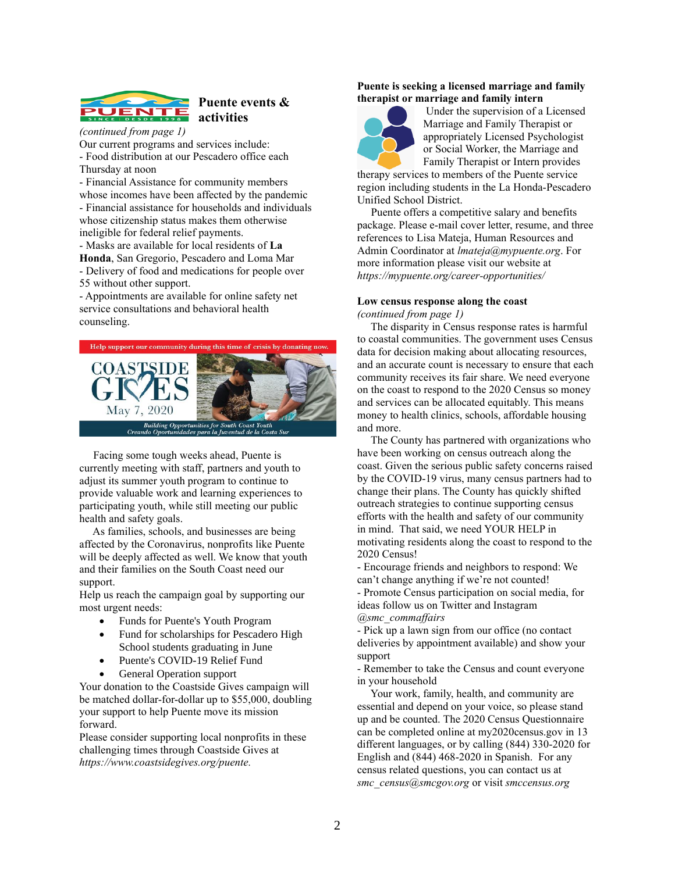

## **Puente events & activities**

*(continued from page 1)* Our current programs and services include: - Food distribution at our Pescadero office each

Thursday at noon

- Financial Assistance for community members whose incomes have been affected by the pandemic

- Financial assistance for households and individuals whose citizenship status makes them otherwise ineligible for federal relief payments.

- Masks are available for local residents of **La Honda**, San Gregorio, Pescadero and Loma Mar - Delivery of food and medications for people over 55 without other support.

- Appointments are available for online safety net service consultations and behavioral health counseling.



 Facing some tough weeks ahead, Puente is currently meeting with staff, partners and youth to adjust its summer youth program to continue to provide valuable work and learning experiences to participating youth, while still meeting our public health and safety goals.

 As families, schools, and businesses are being affected by the Coronavirus, nonprofits like Puente will be deeply affected as well. We know that youth and their families on the South Coast need our support.

Help us reach the campaign goal by supporting our most urgent needs:

- Funds for Puente's Youth Program
- Fund for scholarships for Pescadero High School students graduating in June
- Puente's COVID-19 Relief Fund
- General Operation support

Your donation to the Coastside Gives campaign will be matched dollar-for-dollar up to \$55,000, doubling your support to help Puente move its mission forward.

Please consider supporting local nonprofits in these challenging times through Coastside Gives at *[https://www.coastsidegives.org/puente.](https://www.coastsidegives.org/puente)*

#### **Puente is seeking a licensed marriage and family therapist or marriage and family intern**



Under the supervision of a Licensed Marriage and Family Therapist or appropriately Licensed Psychologist or Social Worker, the Marriage and Family Therapist or Intern provides

therapy services to members of the Puente service region including students in the La Honda-Pescadero Unified School District.

 Puente offers a competitive salary and benefits package. Please e-mail cover letter, resume, and three references to Lisa Mateja, Human Resources and Admin Coordinator at *[lmateja@mypuente.org](mailto:lmateja@mypuente.org)*. For more information please visit our website at *<https://mypuente.org/career-opportunities/>*

#### **Low census response along the coast** *(continued from page 1)*

 The disparity in Census response rates is harmful to coastal communities. The government uses Census data for decision making about allocating resources, and an accurate count is necessary to ensure that each community receives its fair share. We need everyone on the coast to respond to the 2020 Census so money and services can be allocated equitably. This means money to health clinics, schools, affordable housing and more.

 The County has partnered with organizations who have been working on census outreach along the coast. Given the serious public safety concerns raised by the COVID-19 virus, many census partners had to change their plans. The County has quickly shifted outreach strategies to continue supporting census efforts with the health and safety of our community in mind. That said, we need YOUR HELP in motivating residents along the coast to respond to the 2020 Census!

- Encourage friends and neighbors to respond: We can't change anything if we're not counted! - Promote Census participation on social media, for ideas follow us on Twitter and Instagram *@smc\_commaffairs*

- Pick up a lawn sign from our office (no contact deliveries by appointment available) and show your support

- Remember to take the Census and count everyone in your household

 Your work, family, health, and community are essential and depend on your voice, so please stand up and be counted. The 2020 Census Questionnaire can be completed online at my2020census.gov in 13 different languages, or by calling (844) 330-2020 for English and (844) 468-2020 in Spanish. For any census related questions, you can contact us at *smc\_census@smcgov.org* or visit *smccensus.org*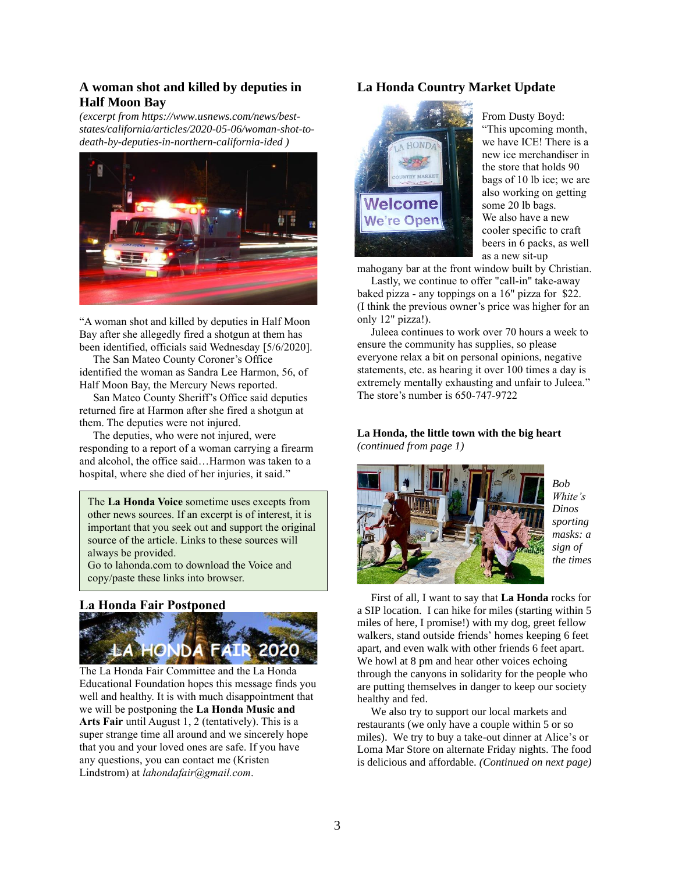## **A woman shot and killed by deputies in Half Moon Bay**

*(excerpt fro[m https://www.usnews.com/news/best](https://www.usnews.com/news/best-states/california/articles/2020-05-06/woman-shot-to-death-by-deputies-in-northern-california-ided)[states/california/articles/2020-05-06/woman-shot-to](https://www.usnews.com/news/best-states/california/articles/2020-05-06/woman-shot-to-death-by-deputies-in-northern-california-ided)[death-by-deputies-in-northern-california-ided](https://www.usnews.com/news/best-states/california/articles/2020-05-06/woman-shot-to-death-by-deputies-in-northern-california-ided) )*



"A woman shot and killed by deputies in Half Moon Bay after she allegedly fired a shotgun at them has been identified, officials said Wednesday [5/6/2020].

 The San Mateo County Coroner's Office identified the woman as Sandra Lee Harmon, 56, of Half Moon Bay, the Mercury News reported.

 San Mateo County Sheriff's Office said deputies returned fire at Harmon after she fired a shotgun at them. The deputies were not injured.

 The deputies, who were not injured, were responding to a report of a woman carrying a firearm and alcohol, the office said…Harmon was taken to a hospital, where she died of her injuries, it said."

The **La Honda Voice** sometime uses excepts from other news sources. If an excerpt is of interest, it is important that you seek out and support the original source of the article. Links to these sources will always be provided.

Go to lahonda.com to download the Voice and copy/paste these links into browser.

## **La Honda Fair Postponed**



The La Honda Fair Committee and the La Honda Educational Foundation hopes this message finds you well and healthy. It is with much disappointment that we will be postponing the **La Honda Music and Arts Fair** until August 1, 2 (tentatively). This is a super strange time all around and we sincerely hope that you and your loved ones are safe. If you have any questions, you can contact me (Kristen Lindstrom) at *[lahondafair@gmail.com](mailto:lahondafair@gmail.com)*.

## **La Honda Country Market Update**



From Dusty Boyd: "This upcoming month, we have ICE! There is a new ice merchandiser in the store that holds 90 bags of 10 lb ice; we are also working on getting some 20 lb bags. We also have a new cooler specific to craft beers in 6 packs, as well as a new sit-up

mahogany bar at the front window built by Christian.

 Lastly, we continue to offer "call-in" take-away baked pizza - any toppings on a 16" pizza for \$22. (I think the previous owner's price was higher for an only 12" pizza!).

 Juleea continues to work over 70 hours a week to ensure the community has supplies, so please everyone relax a bit on personal opinions, negative statements, etc. as hearing it over 100 times a day is extremely mentally exhausting and unfair to Juleea." The store's number is 650-747-9722

#### **La Honda, the little town with the big heart** *(continued from page 1)*



*Bob White's Dinos sporting masks: a sign of the times*

 First of all, I want to say that **La Honda** rocks for a SIP location. I can hike for miles (starting within 5 miles of here, I promise!) with my dog, greet fellow walkers, stand outside friends' homes keeping 6 feet apart, and even walk with other friends 6 feet apart. We howl at 8 pm and hear other voices echoing through the canyons in solidarity for the people who are putting themselves in danger to keep our society healthy and fed.

 We also try to support our local markets and restaurants (we only have a couple within 5 or so miles). We try to buy a take-out dinner at Alice's or Loma Mar Store on alternate Friday nights. The food is delicious and affordable. *(Continued on next page)*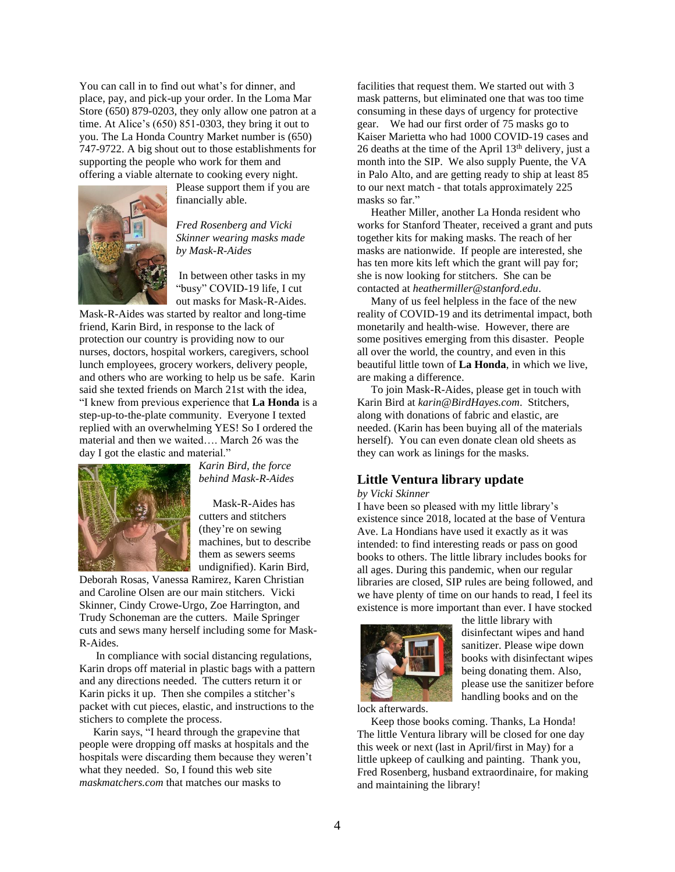You can call in to find out what's for dinner, and place, pay, and pick-up your order. In the Loma Mar Store (650) 879-0203, they only allow one patron at a time. At Alice's (650) 851-0303, they bring it out to you. The La Honda Country Market number is (650) 747-9722. A big shout out to those establishments for supporting the people who work for them and offering a viable alternate to cooking every night.



Please support them if you are financially able.

*Fred Rosenberg and Vicki Skinner wearing masks made by Mask-R-Aides*

In between other tasks in my "busy" COVID-19 life, I cut out masks for Mask-R-Aides.

Mask-R-Aides was started by realtor and long-time friend, Karin Bird, in response to the lack of protection our country is providing now to our nurses, doctors, hospital workers, caregivers, school lunch employees, grocery workers, delivery people, and others who are working to help us be safe. Karin said she texted friends on March 21st with the idea, "I knew from previous experience that **La Honda** is a step-up-to-the-plate community. Everyone I texted replied with an overwhelming YES! So I ordered the material and then we waited…. March 26 was the day I got the elastic and material."



*Karin Bird, the force behind Mask-R-Aides*

 Mask-R-Aides has cutters and stitchers (they're on sewing machines, but to describe them as sewers seems undignified). Karin Bird,

Deborah Rosas, Vanessa Ramirez, Karen Christian and Caroline Olsen are our main stitchers. Vicki Skinner, Cindy Crowe-Urgo, Zoe Harrington, and Trudy Schoneman are the cutters. Maile Springer cuts and sews many herself including some for Mask-R-Aides.

 In compliance with social distancing regulations, Karin drops off material in plastic bags with a pattern and any directions needed. The cutters return it or Karin picks it up. Then she compiles a stitcher's packet with cut pieces, elastic, and instructions to the stichers to complete the process.

 Karin says, "I heard through the grapevine that people were dropping off masks at hospitals and the hospitals were discarding them because they weren't what they needed. So, I found this web site *[maskmatchers.com](http://maskmatchers.com/)* that matches our masks to

facilities that request them. We started out with 3 mask patterns, but eliminated one that was too time consuming in these days of urgency for protective gear. We had our first order of 75 masks go to Kaiser Marietta who had 1000 COVID-19 cases and 26 deaths at the time of the April  $13<sup>th</sup>$  delivery, just a month into the SIP. We also supply Puente, the VA in Palo Alto, and are getting ready to ship at least 85 to our next match - that totals approximately 225 masks so far."

 Heather Miller, another La Honda resident who works for Stanford Theater, received a grant and puts together kits for making masks. The reach of her masks are nationwide. If people are interested, she has ten more kits left which the grant will pay for; she is now looking for stitchers. She can be contacted at *[heathermiller@stanford.edu](mailto:heathermiller@stanford.edu)*.

 Many of us feel helpless in the face of the new reality of COVID-19 and its detrimental impact, both monetarily and health-wise. However, there are some positives emerging from this disaster. People all over the world, the country, and even in this beautiful little town of **La Honda**, in which we live, are making a difference.

 To join Mask-R-Aides, please get in touch with Karin Bird at *[karin@BirdHayes.com](mailto:karin@BirdHayes.com)*. Stitchers, along with donations of fabric and elastic, are needed. (Karin has been buying all of the materials herself). You can even donate clean old sheets as they can work as linings for the masks.

## **Little Ventura library update**

#### *by Vicki Skinner*

I have been so pleased with my little library's existence since 2018, located at the base of Ventura Ave. La Hondians have used it exactly as it was intended: to find interesting reads or pass on good books to others. The little library includes books for all ages. During this pandemic, when our regular libraries are closed, SIP rules are being followed, and we have plenty of time on our hands to read, I feel its existence is more important than ever. I have stocked



the little library with disinfectant wipes and hand sanitizer. Please wipe down books with disinfectant wipes being donating them. Also, please use the sanitizer before handling books and on the

lock afterwards.

 Keep those books coming. Thanks, La Honda! The little Ventura library will be closed for one day this week or next (last in April/first in May) for a little upkeep of caulking and painting. Thank you, Fred Rosenberg, husband extraordinaire, for making and maintaining the library!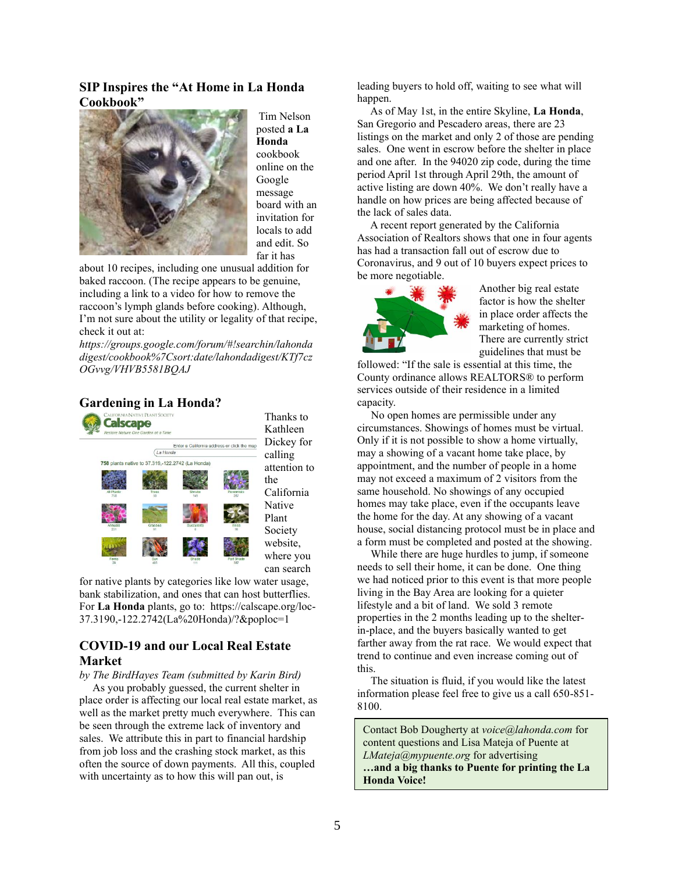## **SIP Inspires the "At Home in La Honda Cookbook"**



Tim Nelson posted **a La Honda** cookbook online on the Google message board with an invitation for locals to add and edit. So far it has

about 10 recipes, including one unusual addition for baked raccoon. (The recipe appears to be genuine, including a link to a video for how to remove the raccoon's lymph glands before cooking). Although, I'm not sure about the utility or legality of that recipe, check it out at:

*[https://groups.google.com/forum/#!searchin/lahonda](https://groups.google.com/forum/#!searchin/lahondadigest/cookbook%7Csort:date/lahondadigest/KTf7czOGvvg/VHVB5581BQAJ) [digest/cookbook%7Csort:date/lahondadigest/KTf7cz](https://groups.google.com/forum/#!searchin/lahondadigest/cookbook%7Csort:date/lahondadigest/KTf7czOGvvg/VHVB5581BQAJ) [OGvvg/VHVB5581BQAJ](https://groups.google.com/forum/#!searchin/lahondadigest/cookbook%7Csort:date/lahondadigest/KTf7czOGvvg/VHVB5581BQAJ)*

#### **Gardening in La Honda?**



for native plants by categories like low water usage, bank stabilization, and ones that can host butterflies. For **La Honda** plants, go to: [https://calscape.org/loc-](https://calscape.org/loc-37.3190,-122.2742(La%20Honda)/?&poploc=1)[37.3190,-122.2742\(La%20Honda\)/?&poploc=1](https://calscape.org/loc-37.3190,-122.2742(La%20Honda)/?&poploc=1)

## **COVID-19 and our Local Real Estate Market**

*by The BirdHayes Team (submitted by Karin Bird)*

 As you probably guessed, the current shelter in place order is affecting our local real estate market, as well as the market pretty much everywhere. This can be seen through the extreme lack of inventory and sales. We attribute this in part to financial hardship from job loss and the crashing stock market, as this often the source of down payments. All this, coupled with uncertainty as to how this will pan out, is

leading buyers to hold off, waiting to see what will happen.

 As of May 1st, in the entire Skyline, **La Honda**, San Gregorio and Pescadero areas, there are 23 listings on the market and only 2 of those are pending sales. One went in escrow before the shelter in place and one after. In the 94020 zip code, during the time period April 1st through April 29th, the amount of active listing are down 40%. We don't really have a handle on how prices are being affected because of the lack of sales data.

 A recent report generated by the California Association of Realtors shows that one in four agents has had a transaction fall out of escrow due to Coronavirus, and 9 out of 10 buyers expect prices to be more negotiable.



Another big real estate factor is how the shelter in place order affects the marketing of homes. There are currently strict guidelines that must be

followed: "If the sale is essential at this time, the County ordinance allows REALTORS® to perform services outside of their residence in a limited capacity.

 No open homes are permissible under any circumstances. Showings of homes must be virtual. Only if it is not possible to show a home virtually, may a showing of a vacant home take place, by appointment, and the number of people in a home may not exceed a maximum of 2 visitors from the same household. No showings of any occupied homes may take place, even if the occupants leave the home for the day. At any showing of a vacant house, social distancing protocol must be in place and a [form](https://www.smcgov.org/sites/smcgov.org/files/Social%20Distancing%20Protocol%20ENGLISH_fillable.pdf) must be completed and posted at the showing.

 While there are huge hurdles to jump, if someone needs to sell their home, it can be done. One thing we had noticed prior to this event is that more people living in the Bay Area are looking for a quieter lifestyle and a bit of land. We sold 3 remote properties in the 2 months leading up to the shelterin-place, and the buyers basically wanted to get farther away from the rat race. We would expect that trend to continue and even increase coming out of this.

 The situation is fluid, if you would like the latest information please feel free to give us a call 650-851- 8100.

Contact Bob Dougherty at *[voice@lahonda.com](mailto:voice@lahonda.com)* for content questions and Lisa Mateja of Puente at *[LMateja@mypuente.org](mailto:LMateja@mypuente.org)* for advertising **…and a big thanks to Puente for printing the La Honda Voice!**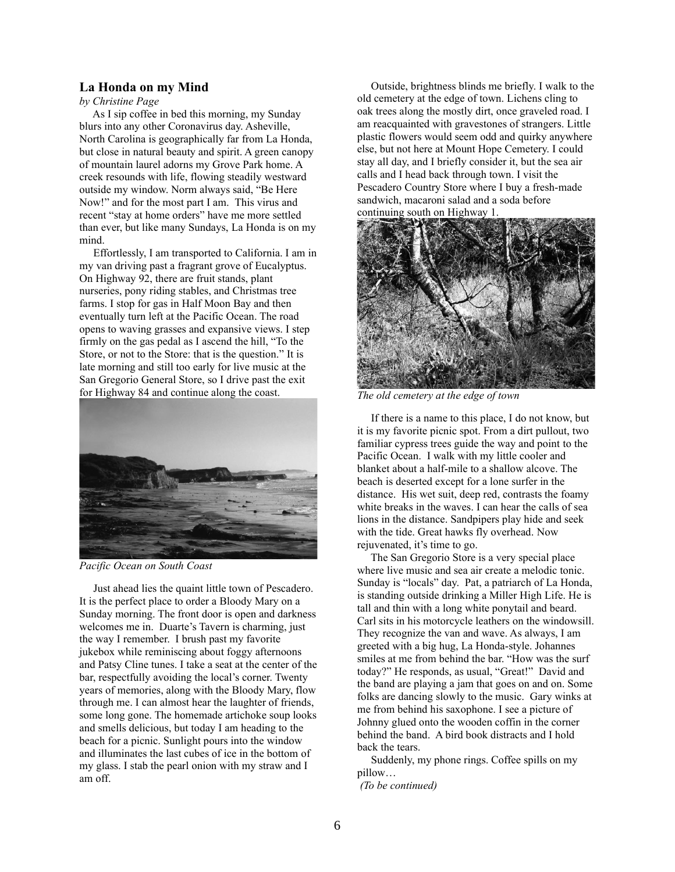#### **La Honda on my Mind**

*by Christine Page*

 As I sip coffee in bed this morning, my Sunday blurs into any other Coronavirus day. Asheville, North Carolina is geographically far from La Honda, but close in natural beauty and spirit. A green canopy of mountain laurel adorns my Grove Park home. A creek resounds with life, flowing steadily westward outside my window. Norm always said, "Be Here Now!" and for the most part I am. This virus and recent "stay at home orders" have me more settled than ever, but like many Sundays, La Honda is on my mind.

 Effortlessly, I am transported to California. I am in my van driving past a fragrant grove of Eucalyptus. On Highway 92, there are fruit stands, plant nurseries, pony riding stables, and Christmas tree farms. I stop for gas in Half Moon Bay and then eventually turn left at the Pacific Ocean. The road opens to waving grasses and expansive views. I step firmly on the gas pedal as I ascend the hill, "To the Store, or not to the Store: that is the question." It is late morning and still too early for live music at the San Gregorio General Store, so I drive past the exit for Highway 84 and continue along the coast.



*Pacific Ocean on South Coast* 

 Just ahead lies the quaint little town of Pescadero. It is the perfect place to order a Bloody Mary on a Sunday morning. The front door is open and darkness welcomes me in. Duarte's Tavern is charming, just the way I remember. I brush past my favorite jukebox while reminiscing about foggy afternoons and Patsy Cline tunes. I take a seat at the center of the bar, respectfully avoiding the local's corner. Twenty years of memories, along with the Bloody Mary, flow through me. I can almost hear the laughter of friends, some long gone. The homemade artichoke soup looks and smells delicious, but today I am heading to the beach for a picnic. Sunlight pours into the window and illuminates the last cubes of ice in the bottom of my glass. I stab the pearl onion with my straw and I am off.

 Outside, brightness blinds me briefly. I walk to the old cemetery at the edge of town. Lichens cling to oak trees along the mostly dirt, once graveled road. I am reacquainted with gravestones of strangers. Little plastic flowers would seem odd and quirky anywhere else, but not here at Mount Hope Cemetery. I could stay all day, and I briefly consider it, but the sea air calls and I head back through town. I visit the Pescadero Country Store where I buy a fresh-made sandwich, macaroni salad and a soda before continuing south on Highway 1.



*The old cemetery at the edge of town*

 If there is a name to this place, I do not know, but it is my favorite picnic spot. From a dirt pullout, two familiar cypress trees guide the way and point to the Pacific Ocean. I walk with my little cooler and blanket about a half-mile to a shallow alcove. The beach is deserted except for a lone surfer in the distance. His wet suit, deep red, contrasts the foamy white breaks in the waves. I can hear the calls of sea lions in the distance. Sandpipers play hide and seek with the tide. Great hawks fly overhead. Now rejuvenated, it's time to go.

 The San Gregorio Store is a very special place where live music and sea air create a melodic tonic. Sunday is "locals" day. Pat, a patriarch of La Honda, is standing outside drinking a Miller High Life. He is tall and thin with a long white ponytail and beard. Carl sits in his motorcycle leathers on the windowsill. They recognize the van and wave. As always, I am greeted with a big hug, La Honda-style. Johannes smiles at me from behind the bar. "How was the surf today?" He responds, as usual, "Great!" David and the band are playing a jam that goes on and on. Some folks are dancing slowly to the music. Gary winks at me from behind his saxophone. I see a picture of Johnny glued onto the wooden coffin in the corner behind the band. A bird book distracts and I hold back the tears.

 Suddenly, my phone rings. Coffee spills on my pillow…

*(To be continued)*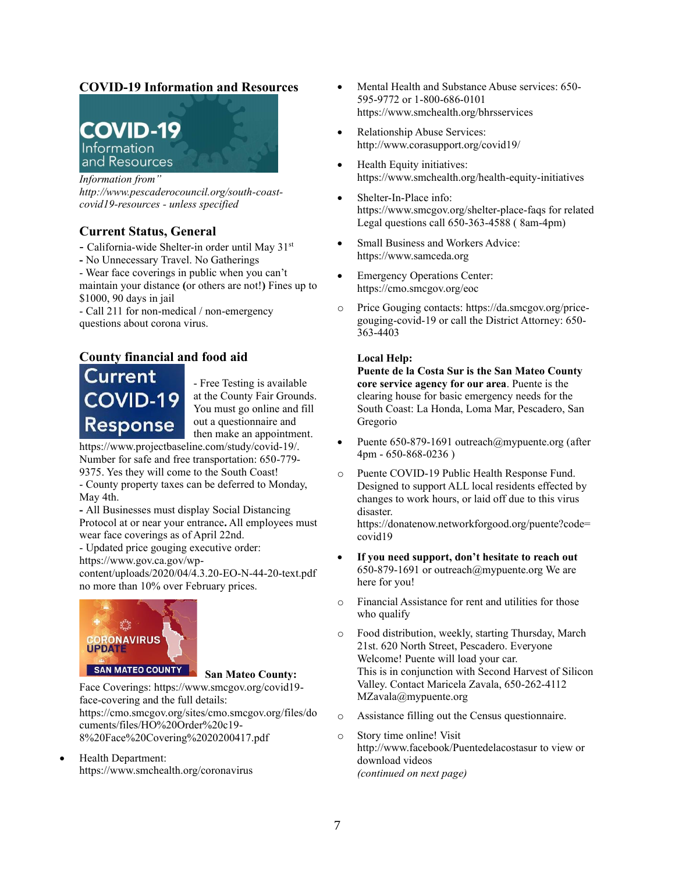# **COVID-19 Information and Resources**



#### *Information from"*

*[http://www.pescaderocouncil.org/south-coast](http://www.pescaderocouncil.org/south-coast-covid19-resources)[covid19-resources](http://www.pescaderocouncil.org/south-coast-covid19-resources) - unless specified*

## **Current Status, General**

- California-wide Shelter-in order until May 31st

**-** No Unnecessary Travel. No Gatherings

- Wear face coverings in public when you can't maintain your distance **(**or others are not!**)** Fines up to \$1000, 90 days in jail

- Call 211 for non-medical / non-emergency questions about corona virus.

# **County financial and food aid**

# Current **COVID-19 Response**

- Free Testing is available at the County Fair Grounds. You must go online and fill out a questionnaire and then make an appointment[.](https://www.projectbaseline.com/study/covid-19/)

[https://www.projectbaseline.com/study/covid-19/.](https://www.projectbaseline.com/study/covid-19/) Number for safe and free transportation: 650-779- 9375. Yes they will come to the South Coast!

- County [property taxes](https://tax.smcgov.org/) can be deferred to Monday, May 4th.

**-** All Businesses must display Social Distancing Protocol at or near your entrance**.** All employees must wear face coverings as of April 22nd.

- Updated price gouging executive order:

[https://www.gov.ca.gov/wp-](https://www.gov.ca.gov/wp-content/uploads/2020/04/4.3.20-EO-N-44-20-text.pdf)

[content/uploads/2020/04/4.3.20-EO-N-44-20-text.pdf](https://www.gov.ca.gov/wp-content/uploads/2020/04/4.3.20-EO-N-44-20-text.pdf) no more than 10% over February prices.



## **San Mateo County:**

Face Coverings: https://www.smcgov.org/covid19 face-covering and the full details: [https://cmo.smcgov.org/sites/cmo.smcgov.org/files/do](https://cmo.smcgov.org/sites/cmo.smcgov.org/files/documents/files/HO%20Order%20c19-8%20Face%20Covering%2020200417.pdf) [cuments/files/HO%20Order%20c19-](https://cmo.smcgov.org/sites/cmo.smcgov.org/files/documents/files/HO%20Order%20c19-8%20Face%20Covering%2020200417.pdf) [8%20Face%20Covering%2020200417.pdf](https://cmo.smcgov.org/sites/cmo.smcgov.org/files/documents/files/HO%20Order%20c19-8%20Face%20Covering%2020200417.pdf)

• Health Department: <https://www.smchealth.org/coronavirus>

- Mental Health and Substance Abuse services: 650- 595-9772 or 1-800-686-0101 <https://www.smchealth.org/bhrsservices>
- Relationship Abuse Services: http://www.corasupport.org/covid19/
- Health Equity initiatives: [https://w](https://www.smchealth.org/health-equity-initiatives)ww.smchealth.org/health-equity-initiatives
- Shelter-In-Place info: https://www.smcgov.org/shelter-place-faqs for related Legal questions call 650-363-4588 ( 8am-4pm)
- Small Business and Workers Advice[:](https://www.samceda.org/) [https://www.samceda.org](https://www.samceda.org/)
- Emergency Operations Center: <https://cmo.smcgov.org/eoc>
- o Price Gouging contacts: [https://da.smcgov.org/price](https://da.smcgov.org/price-gouging-covid-19)[gouging-covid-19](https://da.smcgov.org/price-gouging-covid-19) or call the District Attorney: 650- 363-4403

### **Local Help:**

**Puente de la Costa Sur is the San Mateo County core service agency for our area**. Puente is the clearing house for basic emergency needs for the South Coast: La Honda, Loma Mar, Pescadero, San Gregorio

- Puente 650-879-1691 outreach@mypuente.org (after 4pm - 650-868-0236 )
- o Puente COVID-19 Public Health Response Fund. Designed to support ALL local residents effected by changes to work hours, or laid off due to this virus disaster.

https://donatenow.networkforgood.org/puente?code= covid19

- **If you need support, don't hesitate to reach out** 650-879-1691 or outreach@mypuente.org We are here for you!
- o Financial Assistance for rent and utilities for those who qualify
- o Food distribution, weekly, starting Thursday, March 21st. 620 North Street, Pescadero. Everyone Welcome! Puente will load your car. This is in conjunction with Second Harvest of Silicon Valley. Contact Maricela Zavala, 650-262-4112 MZavala@mypuente.org
- o Assistance filling out the Census questionnaire.
- o Story time online! [Visit](http://www.facebook/Puentedelacostasur)  <http://www.facebook/Puentedelacostasur> to view or download videos *(continued on next page)*